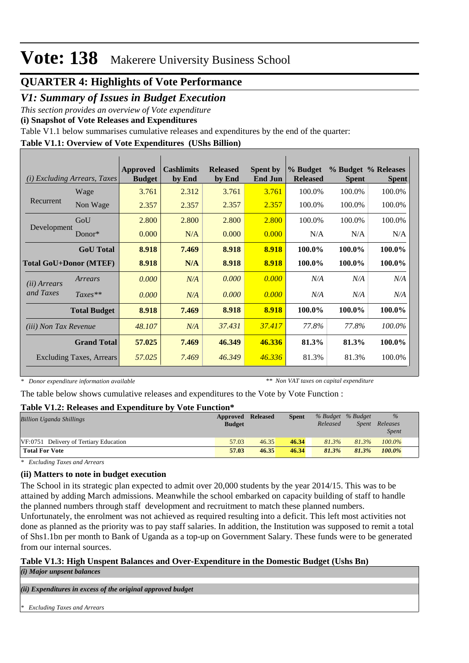## **QUARTER 4: Highlights of Vote Performance**

## *V1: Summary of Issues in Budget Execution*

*This section provides an overview of Vote expenditure* 

**(i) Snapshot of Vote Releases and Expenditures**

Table V1.1 below summarises cumulative releases and expenditures by the end of the quarter:

### **Table V1.1: Overview of Vote Expenditures (UShs Billion)**

| (i)                           | <i>Excluding Arrears, Taxes</i> | <b>Approved</b><br><b>Budget</b> | <b>Cashlimits</b><br>by End | <b>Released</b><br>by End | <b>Spent by</b><br><b>End Jun</b> | % Budget<br><b>Released</b> | <b>Spent</b> | % Budget % Releases<br><b>Spent</b> |
|-------------------------------|---------------------------------|----------------------------------|-----------------------------|---------------------------|-----------------------------------|-----------------------------|--------------|-------------------------------------|
|                               | Wage                            | 3.761                            | 2.312                       | 3.761                     | 3.761                             | 100.0%                      | 100.0%       | 100.0%                              |
| Recurrent                     | Non Wage                        | 2.357                            | 2.357                       | 2.357                     | 2.357                             | 100.0%                      | 100.0%       | 100.0%                              |
|                               | GoU                             | 2.800                            | 2.800                       | 2.800                     | 2.800                             | 100.0%                      | 100.0%       | 100.0%                              |
| Development                   | Donor $*$                       | 0.000                            | N/A                         | 0.000                     | 0.000                             | N/A                         | N/A          | N/A                                 |
|                               | <b>GoU</b> Total                | 8.918                            | 7.469                       | 8.918                     | 8.918                             | 100.0%                      | 100.0%       | 100.0%                              |
| <b>Total GoU+Donor (MTEF)</b> |                                 | 8.918                            | N/A                         | 8.918                     | 8.918                             | 100.0%                      | 100.0%       | 100.0%                              |
| ( <i>ii</i> ) Arrears         | Arrears                         | 0.000                            | N/A                         | 0.000                     | 0.000                             | N/A                         | N/A          | N/A                                 |
| and Taxes                     | $Taxes**$                       | 0.000                            | N/A                         | 0.000                     | 0.000                             | N/A                         | N/A          | N/A                                 |
|                               | <b>Total Budget</b>             | 8.918                            | 7.469                       | 8.918                     | 8.918                             | 100.0%                      | 100.0%       | 100.0%                              |
| <i>(iii) Non Tax Revenue</i>  |                                 | 48.107                           | N/A                         | 37.431                    | 37.417                            | 77.8%                       | 77.8%        | 100.0%                              |
|                               | <b>Grand Total</b>              | 57.025                           | 7.469                       | 46.349                    | 46.336                            | 81.3%                       | 81.3%        | 100.0%                              |
|                               | <b>Excluding Taxes, Arrears</b> | 57.025                           | 7.469                       | 46.349                    | 46.336                            | 81.3%                       | 81.3%        | 100.0%                              |

*\* Donor expenditure information available*

*\*\* Non VAT taxes on capital expenditure*

The table below shows cumulative releases and expenditures to the Vote by Vote Function :

### **Table V1.2: Releases and Expenditure by Vote Function\***

| Approved      |       | <b>Spent</b>    |          |       | $\%$                        |  |
|---------------|-------|-----------------|----------|-------|-----------------------------|--|
| <b>Budget</b> |       |                 | Released | Spent | Releases                    |  |
|               |       |                 |          |       | <i>Spent</i>                |  |
| 57.03         | 46.35 | 46.34           | 81.3%    | 81.3% | 100.0%                      |  |
| 57.03         | 46.35 | 46.34           | 81.3%    | 81.3% | 100.0%                      |  |
|               |       | <b>Released</b> |          |       | $\sim$<br>% Budget % Budget |  |

*\* Excluding Taxes and Arrears*

### **(ii) Matters to note in budget execution**

The School in its strategic plan expected to admit over 20,000 students by the year 2014/15. This was to be attained by adding March admissions. Meanwhile the school embarked on capacity building of staff to handle the planned numbers through staff development and recruitment to match these planned numbers.

Unfortunately, the enrolment was not achieved as required resulting into a deficit. This left most activities not done as planned as the priority was to pay staff salaries. In addition, the Institution was supposed to remit a total of Shs1.1bn per month to Bank of Uganda as a top-up on Government Salary. These funds were to be generated from our internal sources.

### **Table V1.3: High Unspent Balances and Over-Expenditure in the Domestic Budget (Ushs Bn)**

*(i) Major unpsent balances*

*(ii) Expenditures in excess of the original approved budget*

*\* Excluding Taxes and Arrears*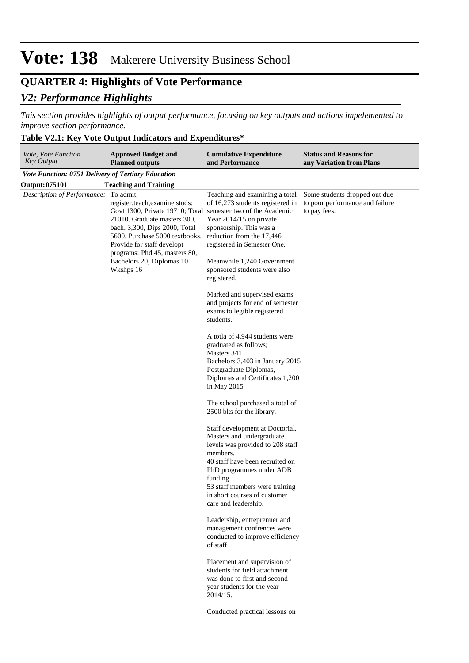# **QUARTER 4: Highlights of Vote Performance**

# *V2: Performance Highlights*

*This section provides highlights of output performance, focusing on key outputs and actions impelemented to improve section performance.*

 $\overline{\phantom{a}}$ 

# **Table V2.1: Key Vote Output Indicators and Expenditures\***

| Vote, Vote Function<br>Key Output                  | <b>Approved Budget and</b><br><b>Planned outputs</b>                                                                                                                                                                                                                                                         | <b>Cumulative Expenditure</b><br>and Performance                                                                                                                                                                                                                                 | <b>Status and Reasons for</b><br>any Variation from Plans                        |
|----------------------------------------------------|--------------------------------------------------------------------------------------------------------------------------------------------------------------------------------------------------------------------------------------------------------------------------------------------------------------|----------------------------------------------------------------------------------------------------------------------------------------------------------------------------------------------------------------------------------------------------------------------------------|----------------------------------------------------------------------------------|
| Vote Function: 0751 Delivery of Tertiary Education |                                                                                                                                                                                                                                                                                                              |                                                                                                                                                                                                                                                                                  |                                                                                  |
| <b>Output: 075101</b>                              | <b>Teaching and Training</b>                                                                                                                                                                                                                                                                                 |                                                                                                                                                                                                                                                                                  |                                                                                  |
| Description of Performance: To admit,              | register, teach, examine studs:<br>Govt 1300, Private 19710; Total semester two of the Academic<br>21010. Graduate masters 300,<br>bach. 3,300, Dips 2000, Total<br>5600. Purchase 5000 textbooks.<br>Provide for staff developt<br>programs: Phd 45, masters 80,<br>Bachelors 20, Diplomas 10.<br>Wkshps 16 | Teaching and examining a total<br>of 16,273 students registered in<br>Year 2014/15 on private<br>sponsorship. This was a<br>reduction from the 17,446<br>registered in Semester One.<br>Meanwhile 1,240 Government<br>sponsored students were also<br>registered.                | Some students dropped out due<br>to poor performance and failure<br>to pay fees. |
|                                                    |                                                                                                                                                                                                                                                                                                              | Marked and supervised exams<br>and projects for end of semester<br>exams to legible registered<br>students.                                                                                                                                                                      |                                                                                  |
|                                                    |                                                                                                                                                                                                                                                                                                              | A totla of 4,944 students were<br>graduated as follows;<br>Masters 341<br>Bachelors 3,403 in January 2015<br>Postgraduate Diplomas,<br>Diplomas and Certificates 1,200<br>in May 2015                                                                                            |                                                                                  |
|                                                    |                                                                                                                                                                                                                                                                                                              | The school purchased a total of<br>2500 bks for the library.                                                                                                                                                                                                                     |                                                                                  |
|                                                    |                                                                                                                                                                                                                                                                                                              | Staff development at Doctorial,<br>Masters and undergraduate<br>levels was provided to 208 staff<br>members.<br>40 staff have been recruited on<br>PhD programmes under ADB<br>funding<br>53 staff members were training<br>in short courses of customer<br>care and leadership. |                                                                                  |
|                                                    |                                                                                                                                                                                                                                                                                                              | Leadership, entreprenuer and<br>management confrences were<br>conducted to improve efficiency<br>of staff                                                                                                                                                                        |                                                                                  |
|                                                    |                                                                                                                                                                                                                                                                                                              | Placement and supervision of<br>students for field attachment<br>was done to first and second<br>year students for the year<br>2014/15.                                                                                                                                          |                                                                                  |
|                                                    |                                                                                                                                                                                                                                                                                                              | Conducted practical lessons on                                                                                                                                                                                                                                                   |                                                                                  |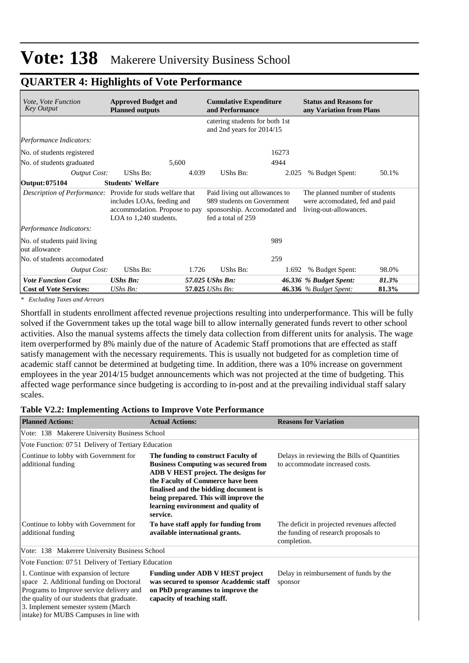# **QUARTER 4: Highlights of Vote Performance**

| <i>Vote, Vote Function</i><br><b>Key Output</b>            | <b>Approved Budget and</b><br><b>Planned outputs</b>                                  | <b>Cumulative Expenditure</b><br>and Performance                                                                  | <b>Status and Reasons for</b><br>any Variation from Plans                                  |
|------------------------------------------------------------|---------------------------------------------------------------------------------------|-------------------------------------------------------------------------------------------------------------------|--------------------------------------------------------------------------------------------|
|                                                            |                                                                                       | catering students for both 1st<br>and 2nd years for 2014/15                                                       |                                                                                            |
| Performance Indicators:                                    |                                                                                       |                                                                                                                   |                                                                                            |
| No. of students registered                                 |                                                                                       |                                                                                                                   | 16273                                                                                      |
| No. of students graduated                                  | 5,600                                                                                 |                                                                                                                   | 4944                                                                                       |
| Output Cost:                                               | UShs Bn:                                                                              | 4.039<br>UShs Bn:                                                                                                 | 50.1%<br>2.025<br>% Budget Spent:                                                          |
| Output: 075104                                             | <b>Students' Welfare</b>                                                              |                                                                                                                   |                                                                                            |
| Description of Performance: Provide for studs welfare that | includes LOAs, feeding and<br>accommodation. Propose to pay<br>LOA to 1,240 students. | Paid living out allowances to<br>989 students on Government<br>sponsorship. Accomodated and<br>fed a total of 259 | The planned number of students<br>were accomodated, fed and paid<br>living-out-allowances. |
| Performance Indicators:                                    |                                                                                       |                                                                                                                   |                                                                                            |
| No. of students paid living<br>out allowance               |                                                                                       |                                                                                                                   | 989                                                                                        |
| No. of students accomodated                                |                                                                                       |                                                                                                                   | 259                                                                                        |
| Output Cost:                                               | UShs Bn:                                                                              | UShs Bn:<br>1.726                                                                                                 | 98.0%<br>1.692<br>% Budget Spent:                                                          |
| <b>Vote Function Cost</b>                                  | <b>UShs Bn:</b>                                                                       | 57.025 UShs Bn:                                                                                                   | 46.336 % Budget Spent:<br>81.3%                                                            |
| <b>Cost of Vote Services:</b>                              | UShs Bn:                                                                              | 57.025 UShs Bn:                                                                                                   | <b>46.336</b> % Budget Spent:<br>81.3%                                                     |

*\* Excluding Taxes and Arrears*

Shortfall in students enrollment affected revenue projections resulting into underperformance. This will be fully solved if the Government takes up the total wage bill to allow internally generated funds revert to other school activities. Also the manual systems affects the timely data collection from different units for analysis. The wage item overperformed by 8% mainly due of the nature of Academic Staff promotions that are effected as staff satisfy management with the necessary requirements. This is usually not budgeted for as completion time of academic staff cannot be determined at budgeting time. In addition, there was a 10% increase on government employees in the year 2014/15 budget announcements which was not projected at the time of budgeting. This affected wage performance since budgeting is according to in-post and at the prevailing individual staff salary scales.

#### **Table V2.2: Implementing Actions to Improve Vote Performance**

| <b>Planned Actions:</b>                                                                                                                                                                                                                                     | <b>Actual Actions:</b>                                                                                                                                                                                                                                                                             | <b>Reasons for Variation</b>                                                                      |
|-------------------------------------------------------------------------------------------------------------------------------------------------------------------------------------------------------------------------------------------------------------|----------------------------------------------------------------------------------------------------------------------------------------------------------------------------------------------------------------------------------------------------------------------------------------------------|---------------------------------------------------------------------------------------------------|
| Vote: 138 Makerere University Business School                                                                                                                                                                                                               |                                                                                                                                                                                                                                                                                                    |                                                                                                   |
| Vote Function: 07.51 Delivery of Tertiary Education                                                                                                                                                                                                         |                                                                                                                                                                                                                                                                                                    |                                                                                                   |
| Continue to lobby with Government for<br>additional funding                                                                                                                                                                                                 | The funding to construct Faculty of<br><b>Business Computing was secured from</b><br>ADB V HEST project. The designs for<br>the Faculty of Commerce have been<br>finalised and the bidding document is<br>being prepared. This will improve the<br>learning environment and quality of<br>service. | Delays in reviewing the Bills of Quantities<br>to accommodate increased costs.                    |
| Continue to lobby with Government for<br>additional funding                                                                                                                                                                                                 | To have staff apply for funding from<br>available international grants.                                                                                                                                                                                                                            | The deficit in projected revenues affected<br>the funding of research proposals to<br>completion. |
| Vote: 138 Makerere University Business School                                                                                                                                                                                                               |                                                                                                                                                                                                                                                                                                    |                                                                                                   |
| Vote Function: 07.51 Delivery of Tertiary Education                                                                                                                                                                                                         |                                                                                                                                                                                                                                                                                                    |                                                                                                   |
| 1. Continue with expansion of lecture<br>space 2. Additional funding on Doctoral<br>Programs to Improve service delivery and<br>the quality of our students that graduate.<br>3. Implement semester system (March<br>intake) for MUBS Campuses in line with | <b>Funding under ADB V HEST project</b><br>was secured to sponsor Acaddemic staff<br>on PhD programmes to improve the<br>capacity of teaching staff.                                                                                                                                               | Delay in reimbursement of funds by the<br>sponsor                                                 |